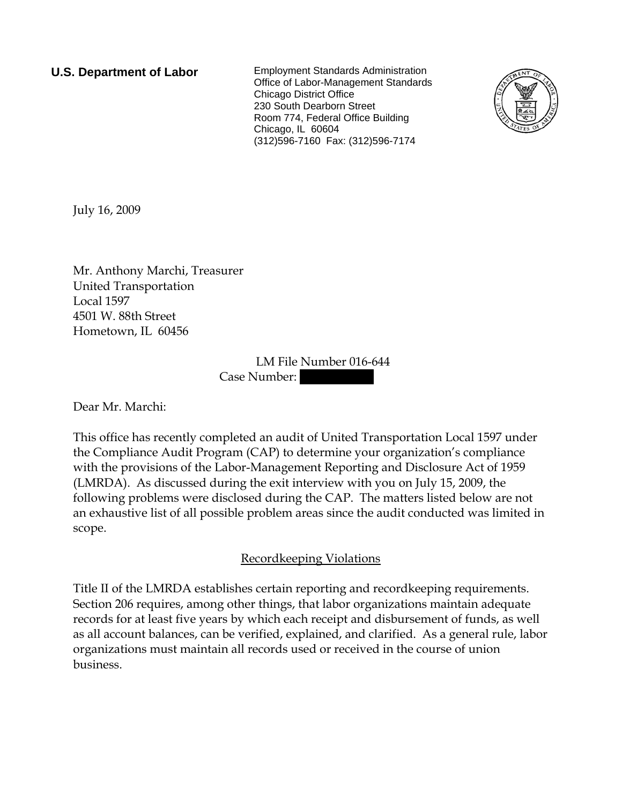**U.S. Department of Labor** Employment Standards Administration Office of Labor-Management Standards Chicago District Office 230 South Dearborn Street Room 774, Federal Office Building Chicago, IL 60604 (312)596-7160 Fax: (312)596-7174



July 16, 2009

Mr. Anthony Marchi, Treasurer United Transportation Local 1597 4501 W. 88th Street Hometown, IL 60456

> LM File Number 016-644 Case Number:

Dear Mr. Marchi:

This office has recently completed an audit of United Transportation Local 1597 under the Compliance Audit Program (CAP) to determine your organization's compliance with the provisions of the Labor-Management Reporting and Disclosure Act of 1959 (LMRDA). As discussed during the exit interview with you on July 15, 2009, the following problems were disclosed during the CAP. The matters listed below are not an exhaustive list of all possible problem areas since the audit conducted was limited in scope.

## Recordkeeping Violations

Title II of the LMRDA establishes certain reporting and recordkeeping requirements. Section 206 requires, among other things, that labor organizations maintain adequate records for at least five years by which each receipt and disbursement of funds, as well as all account balances, can be verified, explained, and clarified. As a general rule, labor organizations must maintain all records used or received in the course of union business.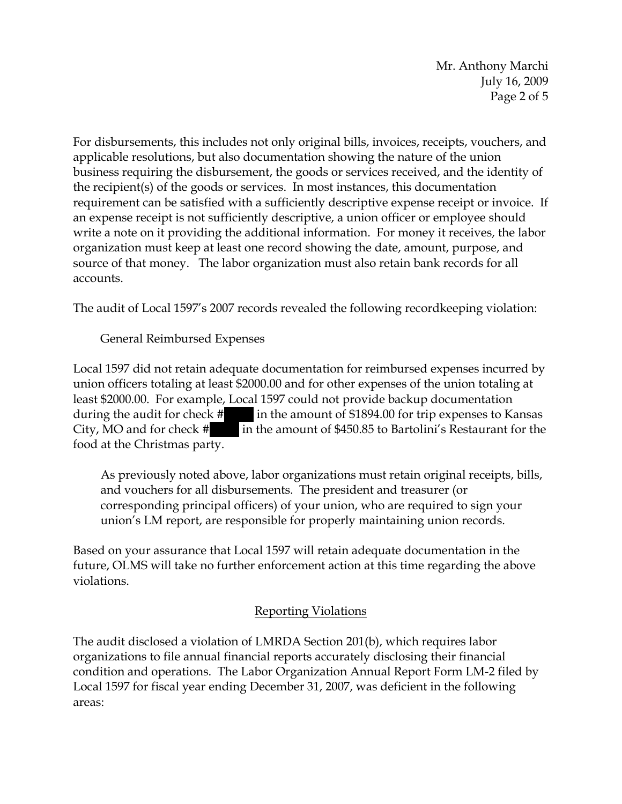Mr. Anthony Marchi July 16, 2009 Page 2 of 5

For disbursements, this includes not only original bills, invoices, receipts, vouchers, and applicable resolutions, but also documentation showing the nature of the union business requiring the disbursement, the goods or services received, and the identity of the recipient(s) of the goods or services. In most instances, this documentation requirement can be satisfied with a sufficiently descriptive expense receipt or invoice. If an expense receipt is not sufficiently descriptive, a union officer or employee should write a note on it providing the additional information. For money it receives, the labor organization must keep at least one record showing the date, amount, purpose, and source of that money. The labor organization must also retain bank records for all accounts.

The audit of Local 1597's 2007 records revealed the following recordkeeping violation:

General Reimbursed Expenses

Local 1597 did not retain adequate documentation for reimbursed expenses incurred by union officers totaling at least \$2000.00 and for other expenses of the union totaling at least \$2000.00. For example, Local 1597 could not provide backup documentation during the audit for check #|||| in the amount of \$1894.00 for trip expenses to Kansas City, MO and for check # |||||||| in the amount of \$450.85 to Bartolini's Restaurant for the food at the Christmas party.

As previously noted above, labor organizations must retain original receipts, bills, and vouchers for all disbursements. The president and treasurer (or corresponding principal officers) of your union, who are required to sign your union's LM report, are responsible for properly maintaining union records.

Based on your assurance that Local 1597 will retain adequate documentation in the future, OLMS will take no further enforcement action at this time regarding the above violations.

## Reporting Violations

The audit disclosed a violation of LMRDA Section 201(b), which requires labor organizations to file annual financial reports accurately disclosing their financial condition and operations. The Labor Organization Annual Report Form LM-2 filed by Local 1597 for fiscal year ending December 31, 2007, was deficient in the following areas: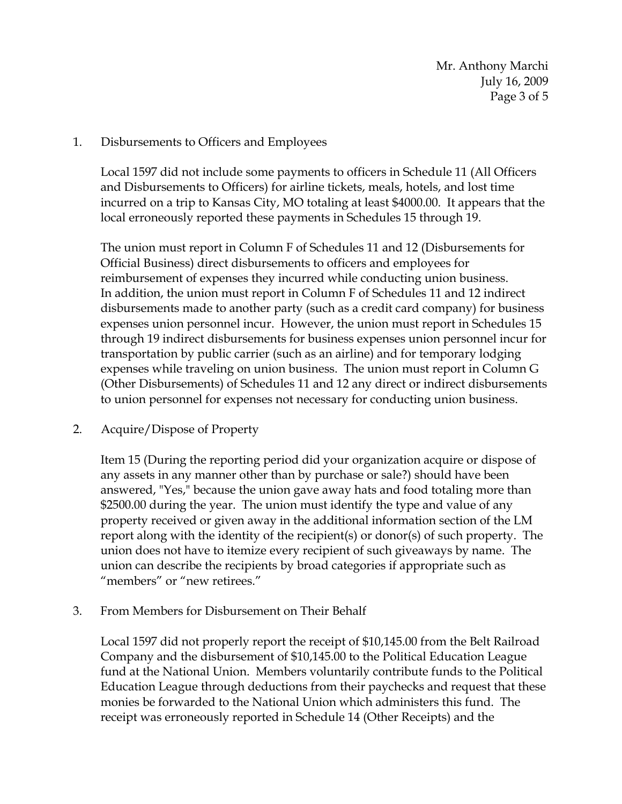Mr. Anthony Marchi July 16, 2009 Page 3 of 5

## 1. Disbursements to Officers and Employees

Local 1597 did not include some payments to officers in Schedule 11 (All Officers and Disbursements to Officers) for airline tickets, meals, hotels, and lost time incurred on a trip to Kansas City, MO totaling at least \$4000.00. It appears that the local erroneously reported these payments in Schedules 15 through 19.

The union must report in Column F of Schedules 11 and 12 (Disbursements for Official Business) direct disbursements to officers and employees for reimbursement of expenses they incurred while conducting union business. In addition, the union must report in Column F of Schedules 11 and 12 indirect disbursements made to another party (such as a credit card company) for business expenses union personnel incur. However, the union must report in Schedules 15 through 19 indirect disbursements for business expenses union personnel incur for transportation by public carrier (such as an airline) and for temporary lodging expenses while traveling on union business. The union must report in Column G (Other Disbursements) of Schedules 11 and 12 any direct or indirect disbursements to union personnel for expenses not necessary for conducting union business.

## 2. Acquire/Dispose of Property

Item 15 (During the reporting period did your organization acquire or dispose of any assets in any manner other than by purchase or sale?) should have been answered, "Yes," because the union gave away hats and food totaling more than \$2500.00 during the year. The union must identify the type and value of any property received or given away in the additional information section of the LM report along with the identity of the recipient(s) or donor(s) of such property. The union does not have to itemize every recipient of such giveaways by name. The union can describe the recipients by broad categories if appropriate such as "members" or "new retirees."

3. From Members for Disbursement on Their Behalf

Local 1597 did not properly report the receipt of \$10,145.00 from the Belt Railroad Company and the disbursement of \$10,145.00 to the Political Education League fund at the National Union. Members voluntarily contribute funds to the Political Education League through deductions from their paychecks and request that these monies be forwarded to the National Union which administers this fund. The receipt was erroneously reported in Schedule 14 (Other Receipts) and the